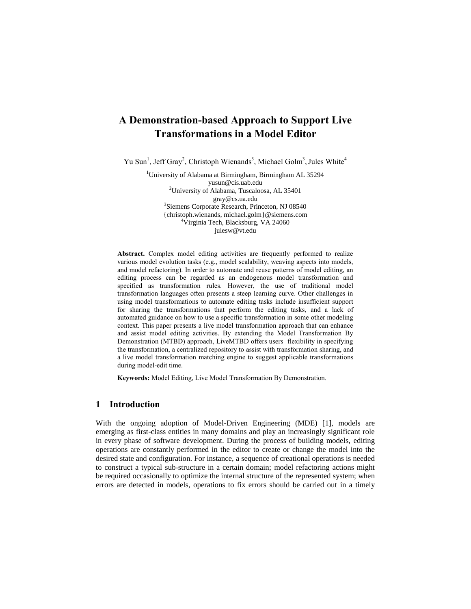# **A Demonstration-based Approach to Support Live Transformations in a Model Editor**

Yu Sun<sup>1</sup>, Jeff Gray<sup>2</sup>, Christoph Wienands<sup>3</sup>, Michael Golm<sup>3</sup>, Jules White<sup>4</sup>

<sup>1</sup>University of Alabama at Birmingham, Birmingham AL 35294 yusun@cis.uab.edu <sup>2</sup>University of Alabama, Tuscaloosa, AL 35401 gray@cs.ua.edu 3 Siemens Corporate Research, Princeton, NJ 08540 {christoph.wienands, michael.golm}@siemens.com <sup>4</sup>Virginia Tech, Blacksburg, VA 24060 julesw@vt.edu

Abstract. Complex model editing activities are frequently performed to realize various model evolution tasks (e.g., model scalability, weaving aspects into models, and model refactoring). In order to automate and reuse patterns of model editing, an editing process can be regarded as an endogenous model transformation and specified as transformation rules. However, the use of traditional model transformation languages often presents a steep learning curve. Other challenges in using model transformations to automate editing tasks include insufficient support for sharing the transformations that perform the editing tasks, and a lack of automated guidance on how to use a specific transformation in some other modeling context. This paper presents a live model transformation approach that can enhance and assist model editing activities. By extending the Model Transformation By Demonstration (MTBD) approach, LiveMTBD offers users flexibility in specifying the transformation, a centralized repository to assist with transformation sharing, and a live model transformation matching engine to suggest applicable transformations during model-edit time.

**Keywords:** Model Editing, Live Model Transformation By Demonstration.

## **1 Introduction**

With the ongoing adoption of Model-Driven Engineering (MDE) [\[1\]](#page-13-0), models are emerging as first-class entities in many domains and play an increasingly significant role in every phase of software development. During the process of building models, editing operations are constantly performed in the editor to create or change the model into the desired state and configuration. For instance, a sequence of creational operations is needed to construct a typical sub-structure in a certain domain; model refactoring actions might be required occasionally to optimize the internal structure of the represented system; when errors are detected in models, operations to fix errors should be carried out in a timely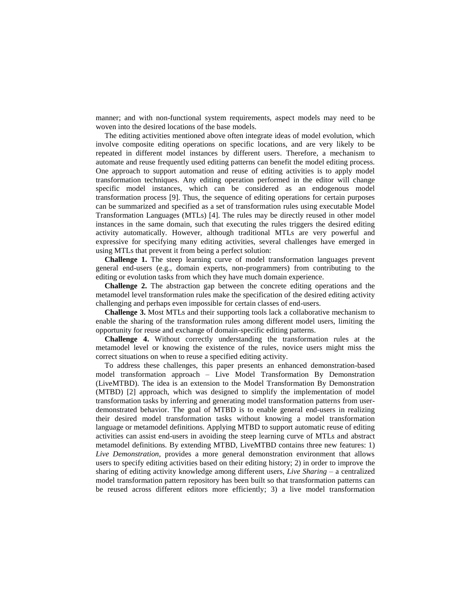manner; and with non-functional system requirements, aspect models may need to be woven into the desired locations of the base models.

The editing activities mentioned above often integrate ideas of model evolution, which involve composite editing operations on specific locations, and are very likely to be repeated in different model instances by different users. Therefore, a mechanism to automate and reuse frequently used editing patterns can benefit the model editing process. One approach to support automation and reuse of editing activities is to apply model transformation techniques. Any editing operation performed in the editor will change specific model instances, which can be considered as an endogenous model transformation process [\[9\]](#page-14-0). Thus, the sequence of editing operations for certain purposes can be summarized and specified as a set of transformation rules using executable Model Transformation Languages (MTLs) [\[4\]](#page-14-1). The rules may be directly reused in other model instances in the same domain, such that executing the rules triggers the desired editing activity automatically. However, although traditional MTLs are very powerful and expressive for specifying many editing activities, several challenges have emerged in using MTLs that prevent it from being a perfect solution:

**Challenge 1.** The steep learning curve of model transformation languages prevent general end-users (e.g., domain experts, non-programmers) from contributing to the editing or evolution tasks from which they have much domain experience.

**Challenge 2.** The abstraction gap between the concrete editing operations and the metamodel level transformation rules make the specification of the desired editing activity challenging and perhaps even impossible for certain classes of end-users.

**Challenge 3.** Most MTLs and their supporting tools lack a collaborative mechanism to enable the sharing of the transformation rules among different model users, limiting the opportunity for reuse and exchange of domain-specific editing patterns.

**Challenge 4.** Without correctly understanding the transformation rules at the metamodel level or knowing the existence of the rules, novice users might miss the correct situations on when to reuse a specified editing activity.

To address these challenges, this paper presents an enhanced demonstration-based model transformation approach – Live Model Transformation By Demonstration (LiveMTBD). The idea is an extension to the Model Transformation By Demonstration (MTBD) [\[2\]](#page-13-1) approach, which was designed to simplify the implementation of model transformation tasks by inferring and generating model transformation patterns from userdemonstrated behavior. The goal of MTBD is to enable general end-users in realizing their desired model transformation tasks without knowing a model transformation language or metamodel definitions. Applying MTBD to support automatic reuse of editing activities can assist end-users in avoiding the steep learning curve of MTLs and abstract metamodel definitions. By extending MTBD, LiveMTBD contains three new features: 1) *Live Demonstration*, provides a more general demonstration environment that allows users to specify editing activities based on their editing history; 2) in order to improve the sharing of editing activity knowledge among different users, *Live Sharing* – a centralized model transformation pattern repository has been built so that transformation patterns can be reused across different editors more efficiently; 3) a live model transformation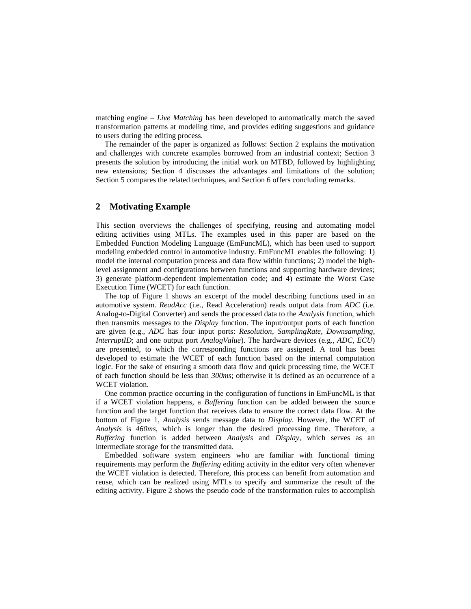matching engine – *Live Matching* has been developed to automatically match the saved transformation patterns at modeling time, and provides editing suggestions and guidance to users during the editing process.

The remainder of the paper is organized as follows: Section 2 explains the motivation and challenges with concrete examples borrowed from an industrial context; Section 3 presents the solution by introducing the initial work on MTBD, followed by highlighting new extensions; Section 4 discusses the advantages and limitations of the solution; Section 5 compares the related techniques, and Section 6 offers concluding remarks.

## **2 Motivating Example**

This section overviews the challenges of specifying, reusing and automating model editing activities using MTLs. The examples used in this paper are based on the Embedded Function Modeling Language (EmFuncML), which has been used to support modeling embedded control in automotive industry. EmFuncML enables the following: 1) model the internal computation process and data flow within functions; 2) model the highlevel assignment and configurations between functions and supporting hardware devices; 3) generate platform-dependent implementation code; and 4) estimate the Worst Case Execution Time (WCET) for each function.

The top of Figure 1 shows an excerpt of the model describing functions used in an automotive system. *ReadAcc* (i.e., Read Acceleration) reads output data from *ADC* (i.e. Analog-to-Digital Converter) and sends the processed data to the *Analysis* function, which then transmits messages to the *Display* function. The input/output ports of each function are given (e.g., *ADC* has four input ports: *Resolution*, *SamplingRate*, *Downsampling*, *InterruptID*; and one output port *AnalogValue*). The hardware devices (e.g., *ADC*, *ECU*) are presented, to which the corresponding functions are assigned. A tool has been developed to estimate the WCET of each function based on the internal computation logic. For the sake of ensuring a smooth data flow and quick processing time, the WCET of each function should be less than *300ms*; otherwise it is defined as an occurrence of a WCET violation.

One common practice occurring in the configuration of functions in EmFuncML is that if a WCET violation happens, a *Buffering* function can be added between the source function and the target function that receives data to ensure the correct data flow. At the bottom of Figure 1, *Analysis* sends message data to *Display*. However, the WCET of *Analysis* is *460ms*, which is longer than the desired processing time. Therefore, a *Buffering* function is added between *Analysis* and *Display*, which serves as an intermediate storage for the transmitted data.

Embedded software system engineers who are familiar with functional timing requirements may perform the *Buffering* editing activity in the editor very often whenever the WCET violation is detected. Therefore, this process can benefit from automation and reuse, which can be realized using MTLs to specify and summarize the result of the editing activity. Figure 2 shows the pseudo code of the transformation rules to accomplish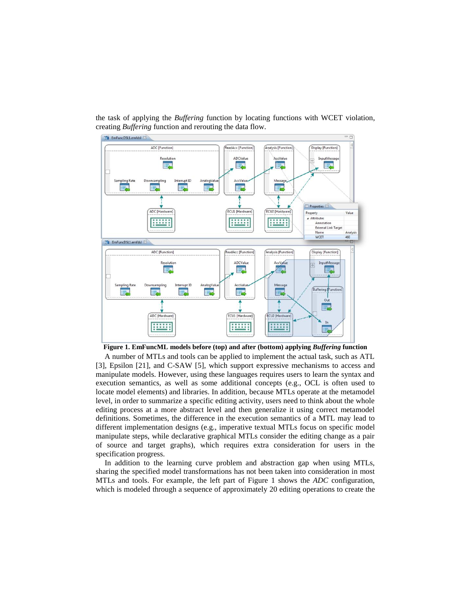

the task of applying the *Buffering* function by locating functions with WCET violation, creating *Buffering* function and rerouting the data flow.

**Figure 1. EmFuncML models before (top) and after (bottom) applying** *Buffering* **function**

A number of MTLs and tools can be applied to implement the actual task, such as ATL [\[3\]](#page-13-2), Epsilon [\[21\]](#page-14-2), and C-SAW [\[5\]](#page-14-3), which support expressive mechanisms to access and manipulate models. However, using these languages requires users to learn the syntax and execution semantics, as well as some additional concepts (e.g., OCL is often used to locate model elements) and libraries. In addition, because MTLs operate at the metamodel level, in order to summarize a specific editing activity, users need to think about the whole editing process at a more abstract level and then generalize it using correct metamodel definitions. Sometimes, the difference in the execution semantics of a MTL may lead to different implementation designs (e.g., imperative textual MTLs focus on specific model manipulate steps, while declarative graphical MTLs consider the editing change as a pair of source and target graphs), which requires extra consideration for users in the specification progress.

In addition to the learning curve problem and abstraction gap when using MTLs, sharing the specified model transformations has not been taken into consideration in most MTLs and tools. For example, the left part of Figure 1 shows the *ADC* configuration, which is modeled through a sequence of approximately 20 editing operations to create the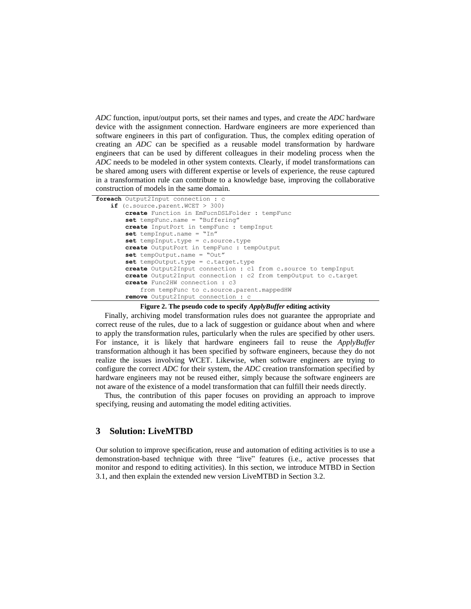*ADC* function, input/output ports, set their names and types, and create the *ADC* hardware device with the assignment connection. Hardware engineers are more experienced than software engineers in this part of configuration. Thus, the complex editing operation of creating an *ADC* can be specified as a reusable model transformation by hardware engineers that can be used by different colleagues in their modeling process when the *ADC* needs to be modeled in other system contexts. Clearly, if model transformations can be shared among users with different expertise or levels of experience, the reuse captured in a transformation rule can contribute to a knowledge base, improving the collaborative construction of models in the same domain.

```
foreach Output2Input connection : c 
if (c.source.parent.WCET > 300)
     create Function in EmFucnDSLFolder : tempFunc
     set tempFunc.name = "Buffering"
     create InputPort in tempFunc : tempInput
     set tempInput.name = "In"
     set tempInput.type = c.source.type
     create OutputPort in tempFunc : tempOutput
     set tempOutput.name = "Out"
     set tempOutput.type = c.target.type
     create Output2Input connection : c1 from c.source to tempInput
     create Output2Input connection : c2 from tempOutput to c.target
     create Func2HW connection : c3
         from tempFunc to c.source.parent.mappedHW
     remove Output2Input connection : c
```
**Figure 2. The pseudo code to specify** *ApplyBuffer* **editing activity**

Finally, archiving model transformation rules does not guarantee the appropriate and correct reuse of the rules, due to a lack of suggestion or guidance about when and where to apply the transformation rules, particularly when the rules are specified by other users. For instance, it is likely that hardware engineers fail to reuse the *ApplyBuffer* transformation although it has been specified by software engineers, because they do not realize the issues involving WCET. Likewise, when software engineers are trying to configure the correct *ADC* for their system, the *ADC* creation transformation specified by hardware engineers may not be reused either, simply because the software engineers are not aware of the existence of a model transformation that can fulfill their needs directly.

Thus, the contribution of this paper focuses on providing an approach to improve specifying, reusing and automating the model editing activities.

# **3 Solution: LiveMTBD**

Our solution to improve specification, reuse and automation of editing activities is to use a demonstration-based technique with three "live" features (i.e., active processes that monitor and respond to editing activities). In this section, we introduce MTBD in Section 3.1, and then explain the extended new version LiveMTBD in Section 3.2.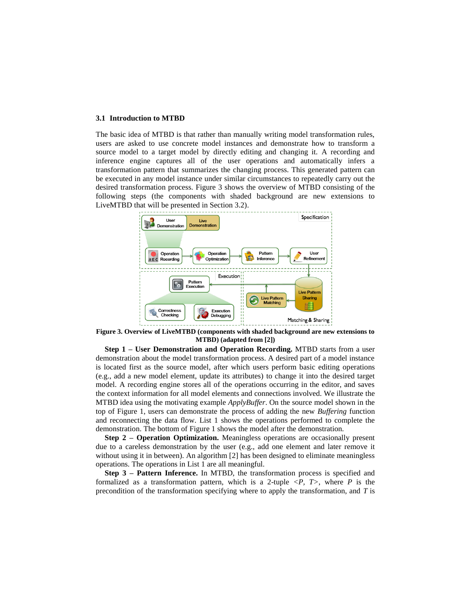#### **3.1 Introduction to MTBD**

The basic idea of MTBD is that rather than manually writing model transformation rules, users are asked to use concrete model instances and demonstrate how to transform a source model to a target model by directly editing and changing it. A recording and inference engine captures all of the user operations and automatically infers a transformation pattern that summarizes the changing process. This generated pattern can be executed in any model instance under similar circumstances to repeatedly carry out the desired transformation process. Figure 3 shows the overview of MTBD consisting of the following steps (the components with shaded background are new extensions to LiveMTBD that will be presented in Section 3.2).



**Figure 3. Overview of LiveMTBD (components with shaded background are new extensions to MTBD) (adapted from [\[2\]](#page-13-1))**

**Step 1 – User Demonstration and Operation Recording.** MTBD starts from a user demonstration about the model transformation process. A desired part of a model instance is located first as the source model, after which users perform basic editing operations (e.g., add a new model element, update its attributes) to change it into the desired target model. A recording engine stores all of the operations occurring in the editor, and saves the context information for all model elements and connections involved. We illustrate the MTBD idea using the motivating example *ApplyBuffer*. On the source model shown in the top of Figure 1, users can demonstrate the process of adding the new *Buffering* function and reconnecting the data flow. List 1 shows the operations performed to complete the demonstration. The bottom of Figure 1 shows the model after the demonstration.

**Step 2 – Operation Optimization.** Meaningless operations are occasionally present due to a careless demonstration by the user (e.g., add one element and later remove it without using it in between). An algorithm [\[2\]](#page-13-1) has been designed to eliminate meaningless operations. The operations in List 1 are all meaningful.

**Step 3 – Pattern Inference.** In MTBD, the transformation process is specified and formalized as a transformation pattern, which is a 2-tuple  $\langle P, T \rangle$ , where P is the precondition of the transformation specifying where to apply the transformation, and *T* is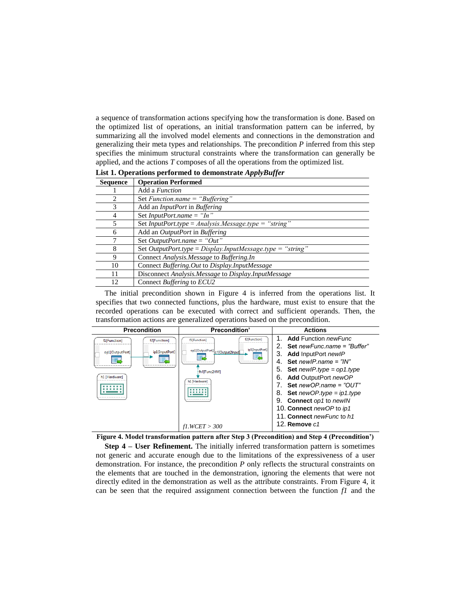a sequence of transformation actions specifying how the transformation is done. Based on the optimized list of operations, an initial transformation pattern can be inferred, by summarizing all the involved model elements and connections in the demonstration and generalizing their meta types and relationships. The precondition *P* inferred from this step specifies the minimum structural constraints where the transformation can generally be applied, and the actions *T* composes of all the operations from the optimized list.

| <b>Sequence</b> | <b>Operation Performed</b>                                 |
|-----------------|------------------------------------------------------------|
|                 | Add a <i>Function</i>                                      |
|                 | Set Function.name = "Buffering"                            |
| 3               | Add an InputPort in Buffering                              |
|                 | Set InputPort.name = "In"                                  |
|                 | Set InputPort.type = Analysis.Message.type = "string"      |
| 6               | Add an OutputPort in Buffering                             |
|                 | Set OutputPort.name = "Out"                                |
| 8               | Set OutputPort.type = Display.InputMessage.type = "string" |
|                 | Connect Analysis. Message to Buffering. In                 |
| 10              | Connect Buffering.Out to Display.InputMessage              |
| 11              | Disconnect Analysis. Message to Display. InputMessage      |
| 12              | Connect Buffering to ECU2                                  |

**List 1. Operations performed to demonstrate** *ApplyBuffer*

The initial precondition shown in Figure 4 is inferred from the operations list. It specifies that two connected functions, plus the hardware, must exist to ensure that the recorded operations can be executed with correct and sufficient operands. Then, the transformation actions are generalized operations based on the precondition.



**Figure 4. Model transformation pattern after Step 3 (Precondition) and Step 4 (Precondition')** 

**Step 4 – User Refinement.** The initially inferred transformation pattern is sometimes not generic and accurate enough due to the limitations of the expressiveness of a user demonstration. For instance, the precondition *P* only reflects the structural constraints on the elements that are touched in the demonstration, ignoring the elements that were not directly edited in the demonstration as well as the attribute constraints. From Figure 4, it can be seen that the required assignment connection between the function *f1* and the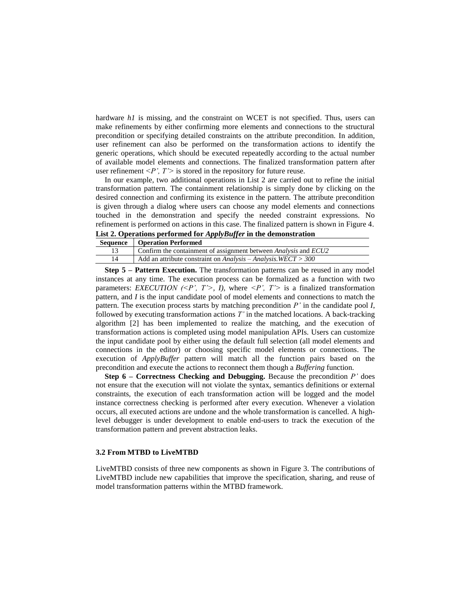hardware *h1* is missing, and the constraint on WCET is not specified. Thus, users can make refinements by either confirming more elements and connections to the structural precondition or specifying detailed constraints on the attribute precondition. In addition, user refinement can also be performed on the transformation actions to identify the generic operations, which should be executed repeatedly according to the actual number of available model elements and connections. The finalized transformation pattern after user refinement  $\langle P', T' \rangle$  is stored in the repository for future reuse.

In our example, two additional operations in List 2 are carried out to refine the initial transformation pattern. The containment relationship is simply done by clicking on the desired connection and confirming its existence in the pattern. The attribute precondition is given through a dialog where users can choose any model elements and connections touched in the demonstration and specify the needed constraint expressions. No refinement is performed on actions in this case. The finalized pattern is shown in Figure 4. **List 2. Operations performed for** *ApplyBuffer* **in the demonstration**

|  | List 2. Operations performed for <i>applybagger</i> in the demonstration |
|--|--------------------------------------------------------------------------|
|  | <b>Sequence</b>   Operation Performed                                    |

| Confirm the containment of assignment between Analysis and $ECU2$ |
|-------------------------------------------------------------------|
| Add an attribute constraint on Analysis – Analysis. WECT > 300    |
|                                                                   |

**Step 5 – Pattern Execution.** The transformation patterns can be reused in any model instances at any time. The execution process can be formalized as a function with two parameters: *EXECUTION*  $\langle P, T \rangle$ , *I*), where  $\langle P', T' \rangle$  is a finalized transformation pattern, and *I* is the input candidate pool of model elements and connections to match the pattern. The execution process starts by matching precondition *P'* in the candidate pool *I*, followed by executing transformation actions *T'* in the matched locations. A back-tracking algorithm [\[2\]](#page-13-1) has been implemented to realize the matching, and the execution of transformation actions is completed using model manipulation APIs. Users can customize the input candidate pool by either using the default full selection (all model elements and connections in the editor) or choosing specific model elements or connections. The execution of *ApplyBuffer* pattern will match all the function pairs based on the precondition and execute the actions to reconnect them though a *Buffering* function.

**Step 6 – Correctness Checking and Debugging.** Because the precondition *P'* does not ensure that the execution will not violate the syntax, semantics definitions or external constraints, the execution of each transformation action will be logged and the model instance correctness checking is performed after every execution. Whenever a violation occurs, all executed actions are undone and the whole transformation is cancelled. A highlevel debugger is under development to enable end-users to track the execution of the transformation pattern and prevent abstraction leaks.

#### **3.2 From MTBD to LiveMTBD**

LiveMTBD consists of three new components as shown in Figure 3. The contributions of LiveMTBD include new capabilities that improve the specification, sharing, and reuse of model transformation patterns within the MTBD framework.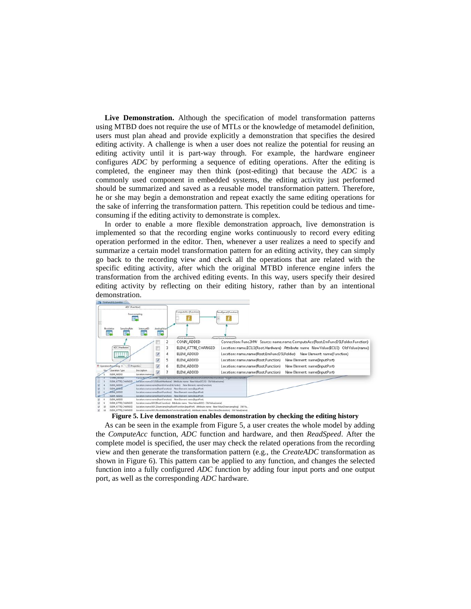**Live Demonstration.** Although the specification of model transformation patterns using MTBD does not require the use of MTLs or the knowledge of metamodel definition, users must plan ahead and provide explicitly a demonstration that specifies the desired editing activity. A challenge is when a user does not realize the potential for reusing an editing activity until it is part-way through. For example, the hardware engineer configures *ADC* by performing a sequence of editing operations. After the editing is completed, the engineer may then think (post-editing) that because the *ADC* is a commonly used component in embedded systems, the editing activity just performed should be summarized and saved as a reusable model transformation pattern. Therefore, he or she may begin a demonstration and repeat exactly the same editing operations for the sake of inferring the transformation pattern. This repetition could be tedious and timeconsuming if the editing activity to demonstrate is complex.

In order to enable a more flexible demonstration approach, live demonstration is implemented so that the recording engine works continuously to record every editing operation performed in the editor. Then, whenever a user realizes a need to specify and summarize a certain model transformation pattern for an editing activity, they can simply go back to the recording view and check all the operations that are related with the specific editing activity, after which the original MTBD inference engine infers the transformation from the archived editing events. In this way, users specify their desired editing activity by reflecting on their editing history, rather than by an intentional demonstration.



#### **Figure 5. Live demonstration enables demonstration by checking the editing history**

As can be seen in the example from Figure 5, a user creates the whole model by adding the *ComputeAcc* function, *ADC* function and hardware, and then *ReadSpeed*. After the complete model is specified, the user may check the related operations from the recording view and then generate the transformation pattern (e.g., the *CreateADC* transformation as shown in Figure 6). This pattern can be applied to any function, and changes the selected function into a fully configured *ADC* function by adding four input ports and one output port, as well as the corresponding *ADC* hardware.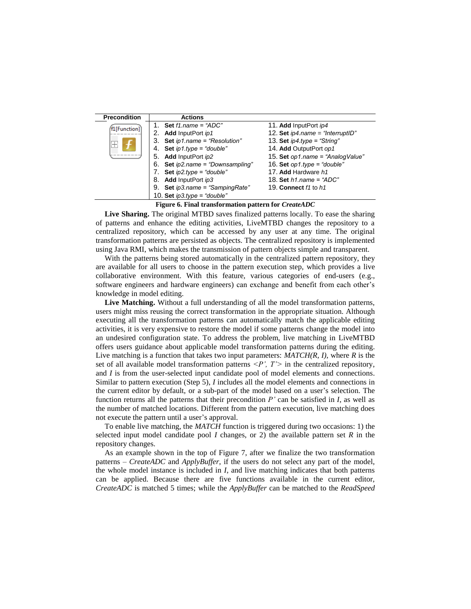| <b>Precondition</b> | <b>Actions</b>                        |                                  |
|---------------------|---------------------------------------|----------------------------------|
| f1[Function]        | <b>Set</b> $f1.name = "ADC"$          | 11. Add InputPort ip4            |
|                     | 2. Add InputPort ip1                  | 12. Set ip4.name = "InterruptID" |
|                     | Set ip1.name = "Resolution"<br>3.     | 13. Set ip4.type = "String"      |
|                     | 4. Set $ip1_type = "double"$          | 14. Add OutputPort op1           |
|                     | 5. Add InputPort ip2                  | 15. Set op1.name = "AnalogValue" |
|                     | Set $ip2.name = "Downsampling"$<br>6. | 16. Set $op1_type = "double"$    |
|                     | Set $ip2_type = "double"$             | 17. Add Hardware h1              |
|                     | Add InputPort ip3<br>8.               | 18. Set h1 name = "ADC"          |
|                     | Set ip3.name = "SampingRate"<br>9.    | 19. Connect f1 to h1             |
|                     | 10. Set $ip3_type = "double"$         |                                  |

**Figure 6. Final transformation pattern for** *CreateADC*

**Live Sharing.** The original MTBD saves finalized patterns locally. To ease the sharing of patterns and enhance the editing activities, LiveMTBD changes the repository to a centralized repository, which can be accessed by any user at any time. The original transformation patterns are persisted as objects. The centralized repository is implemented using Java RMI, which makes the transmission of pattern objects simple and transparent.

With the patterns being stored automatically in the centralized pattern repository, they are available for all users to choose in the pattern execution step, which provides a live collaborative environment. With this feature, various categories of end-users (e.g., software engineers and hardware engineers) can exchange and benefit from each other's knowledge in model editing.

**Live Matching.** Without a full understanding of all the model transformation patterns, users might miss reusing the correct transformation in the appropriate situation. Although executing all the transformation patterns can automatically match the applicable editing activities, it is very expensive to restore the model if some patterns change the model into an undesired configuration state. To address the problem, live matching in LiveMTBD offers users guidance about applicable model transformation patterns during the editing. Live matching is a function that takes two input parameters: *MATCH(R, I)*, where *R* is the set of all available model transformation patterns  $\langle P', T' \rangle$  in the centralized repository, and *I* is from the user-selected input candidate pool of model elements and connections. Similar to pattern execution (Step 5), *I* includes all the model elements and connections in the current editor by default, or a sub-part of the model based on a user's selection. The function returns all the patterns that their precondition *P'* can be satisfied in *I*, as well as the number of matched locations. Different from the pattern execution, live matching does not execute the pattern until a user's approval.

To enable live matching, the *MATCH* function is triggered during two occasions: 1) the selected input model candidate pool *I* changes, or 2) the available pattern set *R* in the repository changes.

As an example shown in the top of Figure 7, after we finalize the two transformation patterns – *CreateADC* and *ApplyBuffer*, if the users do not select any part of the model, the whole model instance is included in *I*, and live matching indicates that both patterns can be applied. Because there are five functions available in the current editor, *CreateADC* is matched 5 times; while the *ApplyBuffer* can be matched to the *ReadSpeed*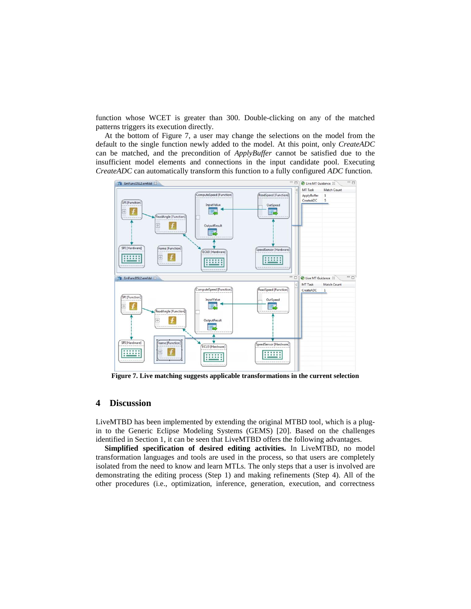function whose WCET is greater than 300. Double-clicking on any of the matched patterns triggers its execution directly.

At the bottom of Figure 7, a user may change the selections on the model from the default to the single function newly added to the model. At this point, only *CreateADC* can be matched, and the precondition of *ApplyBuffer* cannot be satisfied due to the insufficient model elements and connections in the input candidate pool. Executing *CreateADC* can automatically transform this function to a fully configured *ADC* function.



**Figure 7. Live matching suggests applicable transformations in the current selection**

## **4 Discussion**

LiveMTBD has been implemented by extending the original MTBD tool, which is a plugin to the Generic Eclipse Modeling Systems (GEMS) [\[20\]](#page-14-4). Based on the challenges identified in Section 1, it can be seen that LiveMTBD offers the following advantages.

**Simplified specification of desired editing activities.** In LiveMTBD, no model transformation languages and tools are used in the process, so that users are completely isolated from the need to know and learn MTLs. The only steps that a user is involved are demonstrating the editing process (Step 1) and making refinements (Step 4). All of the other procedures (i.e., optimization, inference, generation, execution, and correctness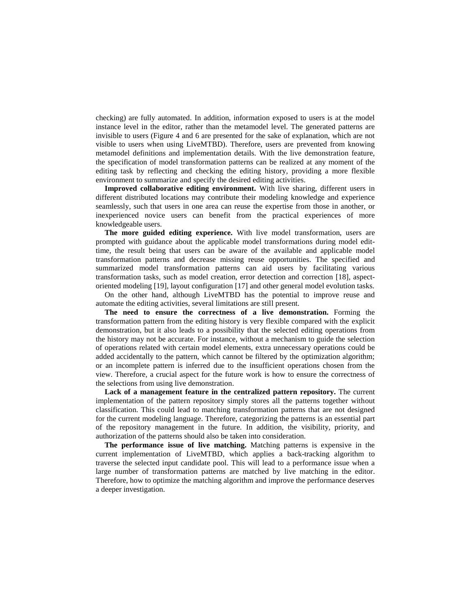checking) are fully automated. In addition, information exposed to users is at the model instance level in the editor, rather than the metamodel level. The generated patterns are invisible to users (Figure 4 and 6 are presented for the sake of explanation, which are not visible to users when using LiveMTBD). Therefore, users are prevented from knowing metamodel definitions and implementation details. With the live demonstration feature, the specification of model transformation patterns can be realized at any moment of the editing task by reflecting and checking the editing history, providing a more flexible environment to summarize and specify the desired editing activities.

**Improved collaborative editing environment.** With live sharing, different users in different distributed locations may contribute their modeling knowledge and experience seamlessly, such that users in one area can reuse the expertise from those in another, or inexperienced novice users can benefit from the practical experiences of more knowledgeable users.

**The more guided editing experience.** With live model transformation, users are prompted with guidance about the applicable model transformations during model edittime, the result being that users can be aware of the available and applicable model transformation patterns and decrease missing reuse opportunities. The specified and summarized model transformation patterns can aid users by facilitating various transformation tasks, such as model creation, error detection and correction [\[18\]](#page-14-5), aspectoriented modeling [\[19\]](#page-14-6), layout configuration [\[17\]](#page-14-7) and other general model evolution tasks.

On the other hand, although LiveMTBD has the potential to improve reuse and automate the editing activities, several limitations are still present.

**The need to ensure the correctness of a live demonstration.** Forming the transformation pattern from the editing history is very flexible compared with the explicit demonstration, but it also leads to a possibility that the selected editing operations from the history may not be accurate. For instance, without a mechanism to guide the selection of operations related with certain model elements, extra unnecessary operations could be added accidentally to the pattern, which cannot be filtered by the optimization algorithm; or an incomplete pattern is inferred due to the insufficient operations chosen from the view. Therefore, a crucial aspect for the future work is how to ensure the correctness of the selections from using live demonstration.

**Lack of a management feature in the centralized pattern repository.** The current implementation of the pattern repository simply stores all the patterns together without classification. This could lead to matching transformation patterns that are not designed for the current modeling language. Therefore, categorizing the patterns is an essential part of the repository management in the future. In addition, the visibility, priority, and authorization of the patterns should also be taken into consideration.

**The performance issue of live matching.** Matching patterns is expensive in the current implementation of LiveMTBD, which applies a back-tracking algorithm to traverse the selected input candidate pool. This will lead to a performance issue when a large number of transformation patterns are matched by live matching in the editor. Therefore, how to optimize the matching algorithm and improve the performance deserves a deeper investigation.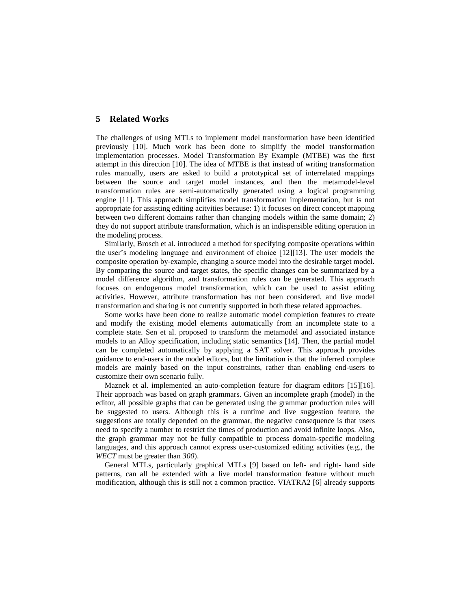# **5 Related Works**

The challenges of using MTLs to implement model transformation have been identified previously [\[10\]](#page-14-8). Much work has been done to simplify the model transformation implementation processes. Model Transformation By Example (MTBE) was the first attempt in this direction [\[10\]](#page-14-8). The idea of MTBE is that instead of writing transformation rules manually, users are asked to build a prototypical set of interrelated mappings between the source and target model instances, and then the metamodel-level transformation rules are semi-automatically generated using a logical programming engine [\[11\]](#page-14-9). This approach simplifies model transformation implementation, but is not appropriate for assisting editing acitvities because: 1) it focuses on direct concept mapping between two different domains rather than changing models within the same domain; 2) they do not support attribute transformation, which is an indispensible editing operation in the modeling process.

Similarly, Brosch et al. introduced a method for specifying composite operations within the user's modeling language and environment of choice [\[12\]](#page-14-10)[\[13\]](#page-14-11). The user models the composite operation by-example, changing a source model into the desirable target model. By comparing the source and target states, the specific changes can be summarized by a model difference algorithm, and transformation rules can be generated. This approach focuses on endogenous model transformation, which can be used to assist editing activities. However, attribute transformation has not been considered, and live model transformation and sharing is not currently supported in both these related approaches.

Some works have been done to realize automatic model completion features to create and modify the existing model elements automatically from an incomplete state to a complete state. Sen et al. proposed to transform the metamodel and associated instance models to an Alloy specification, including static semantics [\[14\]](#page-14-12). Then, the partial model can be completed automatically by applying a SAT solver. This approach provides guidance to end-users in the model editors, but the limitation is that the inferred complete models are mainly based on the input constraints, rather than enabling end-users to customize their own scenario fully.

Maznek et al. implemented an auto-completion feature for diagram editors [\[15\]](#page-14-13)[\[16\]](#page-14-14). Their approach was based on graph grammars. Given an incomplete graph (model) in the editor, all possible graphs that can be generated using the grammar production rules will be suggested to users. Although this is a runtime and live suggestion feature, the suggestions are totally depended on the grammar, the negative consequence is that users need to specify a number to restrict the times of production and avoid infinite loops. Also, the graph grammar may not be fully compatible to process domain-specific modeling languages, and this approach cannot express user-customized editing activities (e.g., the *WECT* must be greater than *300*).

General MTLs, particularly graphical MTLs [\[9\]](#page-14-0) based on left- and right- hand side patterns, can all be extended with a live model transformation feature without much modification, although this is still not a common practice. VIATRA2 [\[6\]](#page-14-15) already supports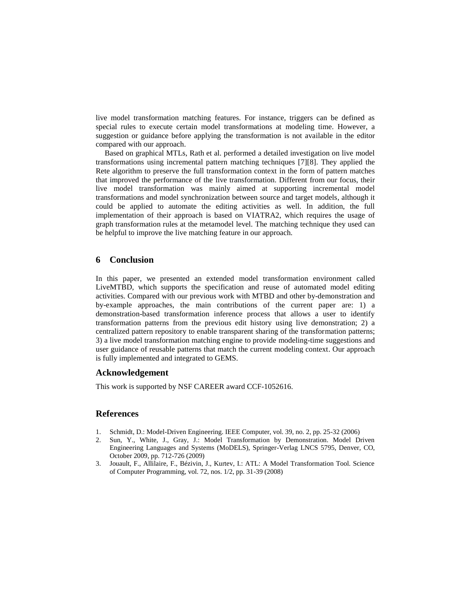live model transformation matching features. For instance, triggers can be defined as special rules to execute certain model transformations at modeling time. However, a suggestion or guidance before applying the transformation is not available in the editor compared with our approach.

Based on graphical MTLs, Rath et al. performed a detailed investigation on live model transformations using incremental pattern matching techniques [\[7\]](#page-14-16)[\[8\]](#page-14-17). They applied the Rete algorithm to preserve the full transformation context in the form of pattern matches that improved the performance of the live transformation. Different from our focus, their live model transformation was mainly aimed at supporting incremental model transformations and model synchronization between source and target models, although it could be applied to automate the editing activities as well. In addition, the full implementation of their approach is based on VIATRA2, which requires the usage of graph transformation rules at the metamodel level. The matching technique they used can be helpful to improve the live matching feature in our approach.

## **6 Conclusion**

In this paper, we presented an extended model transformation environment called LiveMTBD, which supports the specification and reuse of automated model editing activities. Compared with our previous work with MTBD and other by-demonstration and by-example approaches, the main contributions of the current paper are: 1) a demonstration-based transformation inference process that allows a user to identify transformation patterns from the previous edit history using live demonstration; 2) a centralized pattern repository to enable transparent sharing of the transformation patterns; 3) a live model transformation matching engine to provide modeling-time suggestions and user guidance of reusable patterns that match the current modeling context. Our approach is fully implemented and integrated to GEMS.

## **Acknowledgement**

This work is supported by NSF CAREER award CCF-1052616.

#### **References**

- <span id="page-13-0"></span>1. Schmidt, D.: Model-Driven Engineering. IEEE Computer, vol. 39, no. 2, pp. 25-32 (2006)
- <span id="page-13-1"></span>2. Sun, Y., White, J., Gray, J.: Model Transformation by Demonstration. Model Driven Engineering Languages and Systems (MoDELS), Springer-Verlag LNCS 5795, Denver, CO, October 2009, pp. 712-726 (2009)
- <span id="page-13-2"></span>3. Jouault, F., Allilaire, F., Bézivin, J., Kurtev, I.: ATL: A Model Transformation Tool. Science of Computer Programming, vol. 72, nos. 1/2, pp. 31-39 (2008)